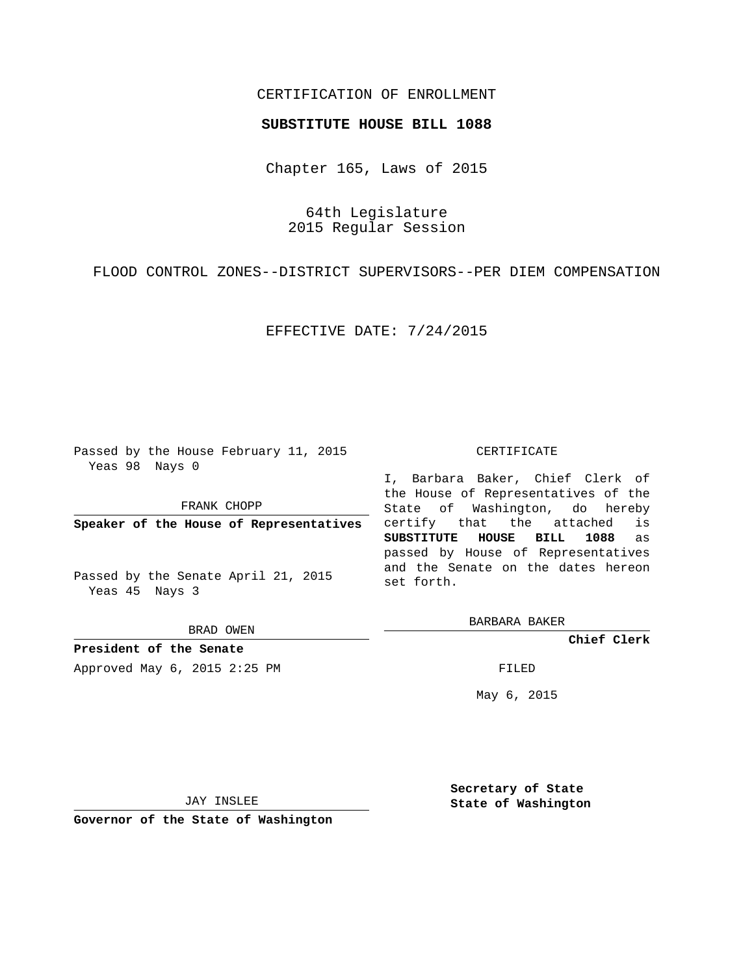## CERTIFICATION OF ENROLLMENT

## **SUBSTITUTE HOUSE BILL 1088**

Chapter 165, Laws of 2015

64th Legislature 2015 Regular Session

FLOOD CONTROL ZONES--DISTRICT SUPERVISORS--PER DIEM COMPENSATION

EFFECTIVE DATE: 7/24/2015

Passed by the House February 11, 2015 Yeas 98 Nays 0

FRANK CHOPP

**Speaker of the House of Representatives**

Passed by the Senate April 21, 2015 Yeas 45 Nays 3

BRAD OWEN

**President of the Senate**

Approved May 6, 2015 2:25 PM FILED

## CERTIFICATE

I, Barbara Baker, Chief Clerk of the House of Representatives of the State of Washington, do hereby certify that the attached is **SUBSTITUTE HOUSE BILL 1088** as passed by House of Representatives and the Senate on the dates hereon set forth.

BARBARA BAKER

**Chief Clerk**

May 6, 2015

JAY INSLEE

**Governor of the State of Washington**

**Secretary of State State of Washington**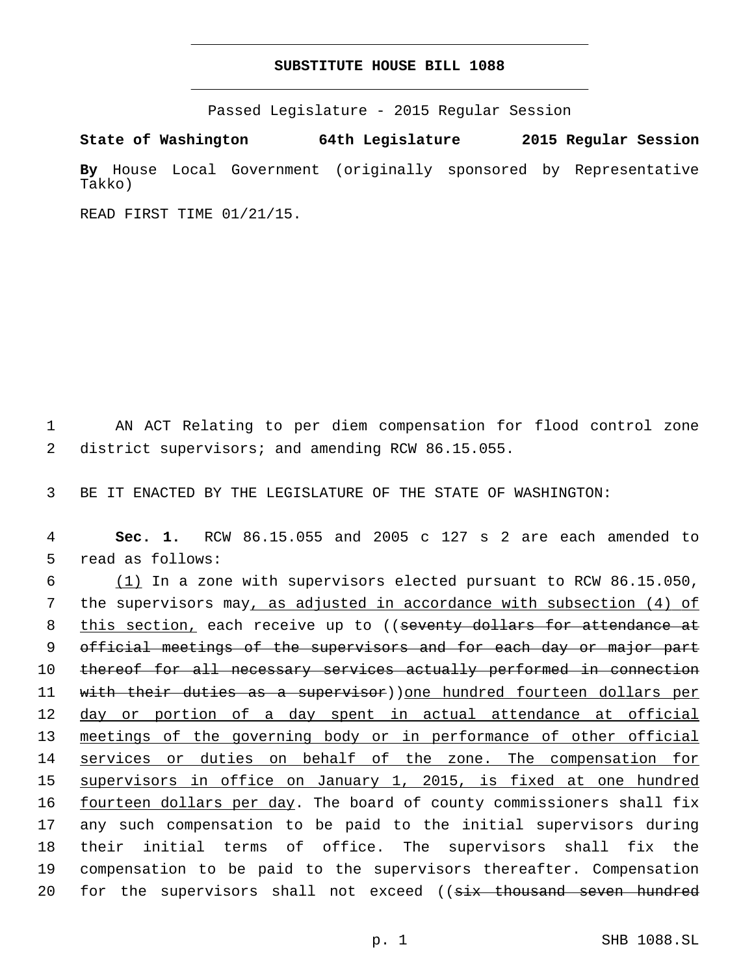## **SUBSTITUTE HOUSE BILL 1088**

Passed Legislature - 2015 Regular Session

**State of Washington 64th Legislature 2015 Regular Session**

**By** House Local Government (originally sponsored by Representative Takko)

READ FIRST TIME 01/21/15.

1 AN ACT Relating to per diem compensation for flood control zone 2 district supervisors; and amending RCW 86.15.055.

3 BE IT ENACTED BY THE LEGISLATURE OF THE STATE OF WASHINGTON:

4 **Sec. 1.** RCW 86.15.055 and 2005 c 127 s 2 are each amended to 5 read as follows:

 $6$  (1) In a zone with supervisors elected pursuant to RCW 86.15.050, 7 the supervisors may, as adjusted in accordance with subsection (4) of 8 this section, each receive up to ((seventy dollars for attendance at 9 official meetings of the supervisors and for each day or major part 10 thereof for all necessary services actually performed in connection 11 with their duties as a supervisor))one hundred fourteen dollars per 12 day or portion of a day spent in actual attendance at official 13 meetings of the governing body or in performance of other official 14 services or duties on behalf of the zone. The compensation for 15 supervisors in office on January 1, 2015, is fixed at one hundred 16 fourteen dollars per day. The board of county commissioners shall fix 17 any such compensation to be paid to the initial supervisors during 18 their initial terms of office. The supervisors shall fix the 19 compensation to be paid to the supervisors thereafter. Compensation 20 for the supervisors shall not exceed ((six thousand seven hundred